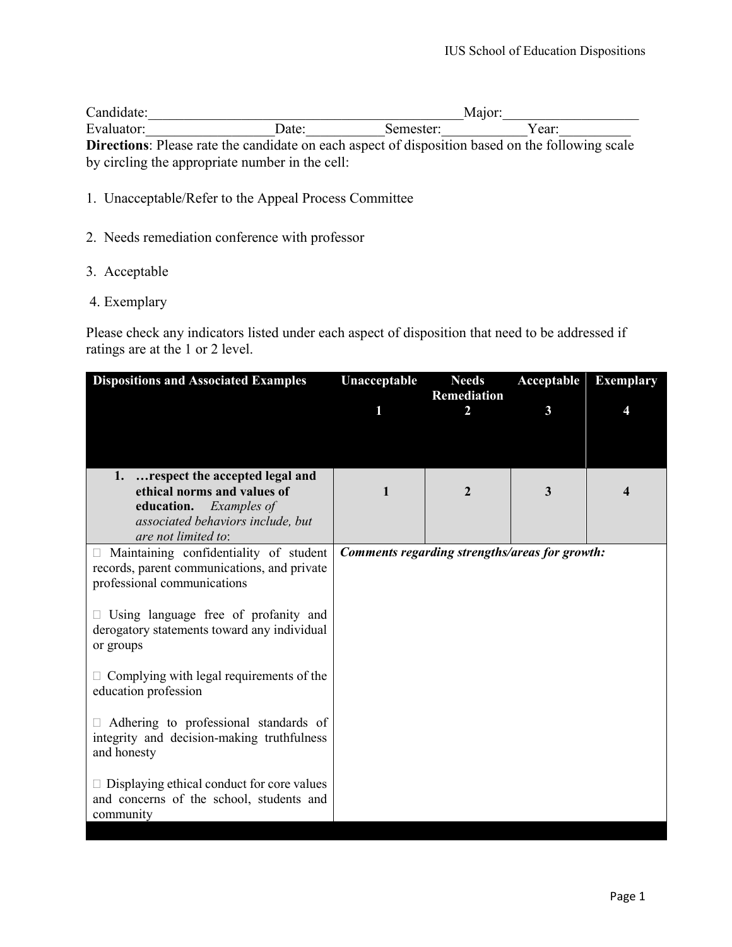| Candidate: |                                                 | Maior:    |                                                                                                         |  |  |
|------------|-------------------------------------------------|-----------|---------------------------------------------------------------------------------------------------------|--|--|
| Evaluator: | Date:                                           | Semester: | Year:                                                                                                   |  |  |
|            |                                                 |           | <b>Directions:</b> Please rate the candidate on each aspect of disposition based on the following scale |  |  |
|            | by circling the appropriate number in the cell: |           |                                                                                                         |  |  |

- 1. Unacceptable/Refer to the Appeal Process Committee
- 2. Needs remediation conference with professor
- 3. Acceptable
- 4. Exemplary

Please check any indicators listed under each aspect of disposition that need to be addressed if ratings are at the 1 or 2 level.

| <b>Dispositions and Associated Examples</b>                                                                          | Unacceptable                                   | <b>Needs</b><br><b>Remediation</b> | Acceptable | <b>Exemplary</b> |
|----------------------------------------------------------------------------------------------------------------------|------------------------------------------------|------------------------------------|------------|------------------|
|                                                                                                                      |                                                | 2                                  | 3          |                  |
|                                                                                                                      |                                                |                                    |            |                  |
| respect the accepted legal and<br>1.<br>ethical norms and values of                                                  | 1                                              | $\mathbf{2}$                       | 3          |                  |
| education.<br>Examples of                                                                                            |                                                |                                    |            |                  |
| associated behaviors include, but<br>are not limited to:                                                             |                                                |                                    |            |                  |
| Maintaining confidentiality of student<br>records, parent communications, and private<br>professional communications | Comments regarding strengths/areas for growth: |                                    |            |                  |
| $\Box$ Using language free of profanity and<br>derogatory statements toward any individual<br>or groups              |                                                |                                    |            |                  |
| $\Box$ Complying with legal requirements of the<br>education profession                                              |                                                |                                    |            |                  |
| Adhering to professional standards of<br>integrity and decision-making truthfulness<br>and honesty                   |                                                |                                    |            |                  |
| $\Box$ Displaying ethical conduct for core values<br>and concerns of the school, students and<br>community           |                                                |                                    |            |                  |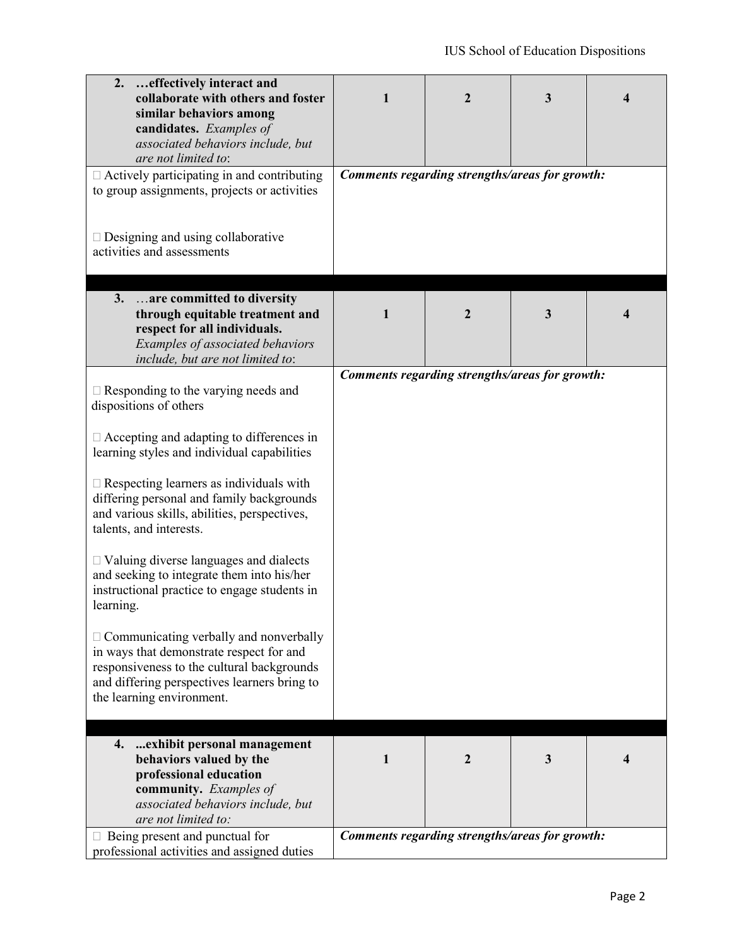| 2.<br>effectively interact and<br>collaborate with others and foster<br>similar behaviors among<br>candidates. Examples of<br>associated behaviors include, but<br>are not limited to:                               | 1 | 2                                              | 3 | 4 |
|----------------------------------------------------------------------------------------------------------------------------------------------------------------------------------------------------------------------|---|------------------------------------------------|---|---|
| $\Box$ Actively participating in and contributing<br>to group assignments, projects or activities<br>$\Box$ Designing and using collaborative<br>activities and assessments                                          |   | Comments regarding strengths/areas for growth: |   |   |
| 3.<br>are committed to diversity                                                                                                                                                                                     |   |                                                |   |   |
| through equitable treatment and<br>respect for all individuals.<br>Examples of associated behaviors                                                                                                                  | 1 | $\mathbf{2}$                                   | 3 | 4 |
| include, but are not limited to:                                                                                                                                                                                     |   |                                                |   |   |
| $\Box$ Responding to the varying needs and<br>dispositions of others                                                                                                                                                 |   | Comments regarding strengths/areas for growth: |   |   |
| $\Box$ Accepting and adapting to differences in<br>learning styles and individual capabilities                                                                                                                       |   |                                                |   |   |
| $\square$ Respecting learners as individuals with<br>differing personal and family backgrounds<br>and various skills, abilities, perspectives,<br>talents, and interests.                                            |   |                                                |   |   |
| $\Box$ Valuing diverse languages and dialects<br>and seeking to integrate them into his/her<br>instructional practice to engage students in<br>learning.                                                             |   |                                                |   |   |
| $\Box$ Communicating verbally and nonverbally<br>in ways that demonstrate respect for and<br>responsiveness to the cultural backgrounds<br>and differing perspectives learners bring to<br>the learning environment. |   |                                                |   |   |
| exhibit personal management<br>4.<br>behaviors valued by the<br>professional education<br>community. Examples of<br>associated behaviors include, but<br>are not limited to:                                         | 1 | $\mathbf{2}$                                   | 3 | 4 |
| Being present and punctual for<br>professional activities and assigned duties                                                                                                                                        |   | Comments regarding strengths/areas for growth: |   |   |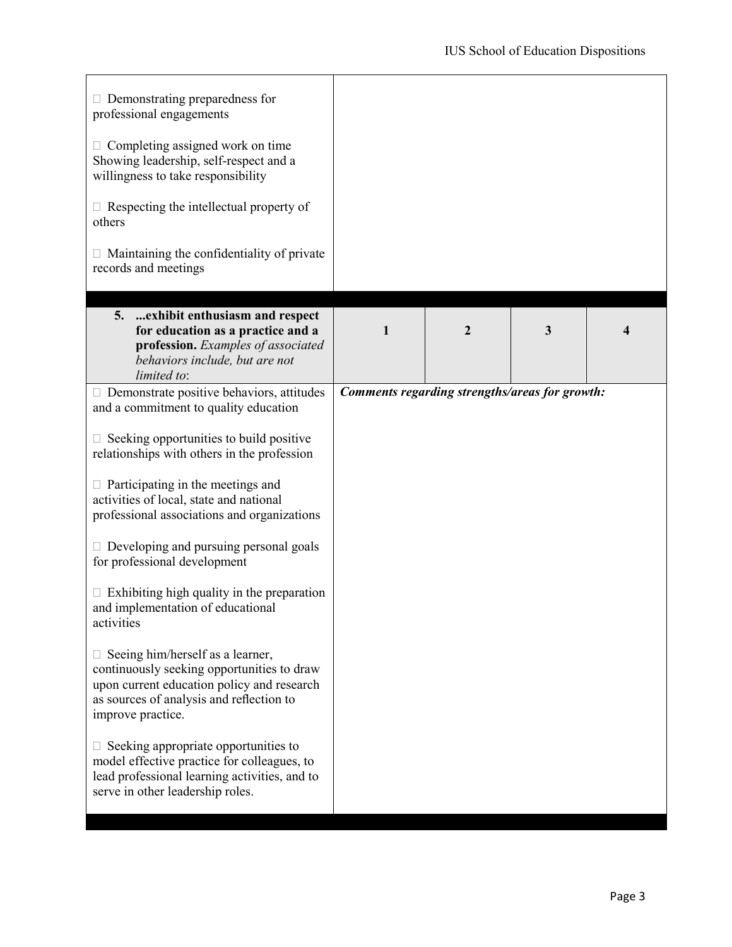| $\Box$ Demonstrating preparedness for<br>professional engagements                                                                                                                             |                                                |   |              |   |
|-----------------------------------------------------------------------------------------------------------------------------------------------------------------------------------------------|------------------------------------------------|---|--------------|---|
| $\Box$ Completing assigned work on time<br>Showing leadership, self-respect and a<br>willingness to take responsibility                                                                       |                                                |   |              |   |
| $\Box$ Respecting the intellectual property of<br>others                                                                                                                                      |                                                |   |              |   |
| $\Box$ Maintaining the confidentiality of private<br>records and meetings                                                                                                                     |                                                |   |              |   |
| exhibit enthusiasm and respect<br>5.<br>for education as a practice and a<br>profession. Examples of associated<br>behaviors include, but are not<br>limited to:                              | 1                                              | 2 | $\mathbf{3}$ | 4 |
| Demonstrate positive behaviors, attitudes<br>and a commitment to quality education                                                                                                            | Comments regarding strengths/areas for growth: |   |              |   |
| Seeking opportunities to build positive<br>relationships with others in the profession                                                                                                        |                                                |   |              |   |
| Participating in the meetings and<br>activities of local, state and national<br>professional associations and organizations                                                                   |                                                |   |              |   |
| $\Box$ Developing and pursuing personal goals<br>for professional development                                                                                                                 |                                                |   |              |   |
| Exhibiting high quality in the preparation<br>and implementation of educational<br>activities                                                                                                 |                                                |   |              |   |
| Seeing him/herself as a learner,<br>continuously seeking opportunities to draw<br>upon current education policy and research<br>as sources of analysis and reflection to<br>improve practice. |                                                |   |              |   |
| Seeking appropriate opportunities to<br>model effective practice for colleagues, to<br>lead professional learning activities, and to<br>serve in other leadership roles.                      |                                                |   |              |   |